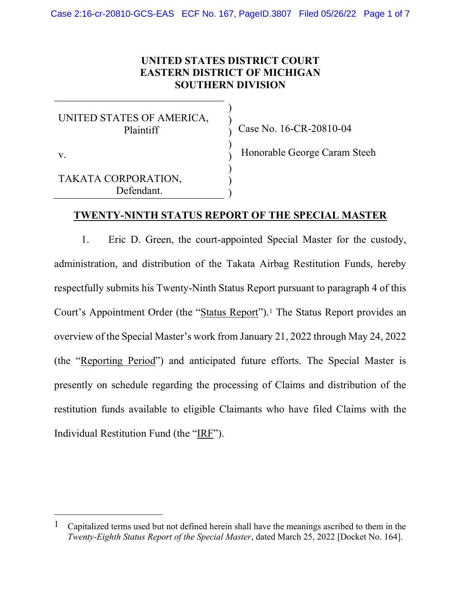## UNITED STATES DISTRICT COURT EASTERN DISTRICT OF MICHIGAN SOUTHERN DIVISION

) ) ) ) ) ) ) )

UNITED STATES OF AMERICA, Plaintiff

Case No. 16-CR-20810-04

v.

TAKATA CORPORATION, Defendant.

Honorable George Caram Steeh

#### TWENTY-NINTH STATUS REPORT OF THE SPECIAL MASTER

1. Eric D. Green, the court-appointed Special Master for the custody, administration, and distribution of the Takata Airbag Restitution Funds, hereby respectfully submits his Twenty-Ninth Status Report pursuant to paragraph 4 of this Court's Appointment Order (the "Status Report").1 The Status Report provides an overview of the Special Master's work from January 21, 2022 through May 24, 2022 (the "Reporting Period") and anticipated future efforts. The Special Master is presently on schedule regarding the processing of Claims and distribution of the restitution funds available to eligible Claimants who have filed Claims with the Individual Restitution Fund (the "IRF").

 $1$  Capitalized terms used but not defined herein shall have the meanings ascribed to them in the Twenty-Eighth Status Report of the Special Master, dated March 25, 2022 [Docket No. 164].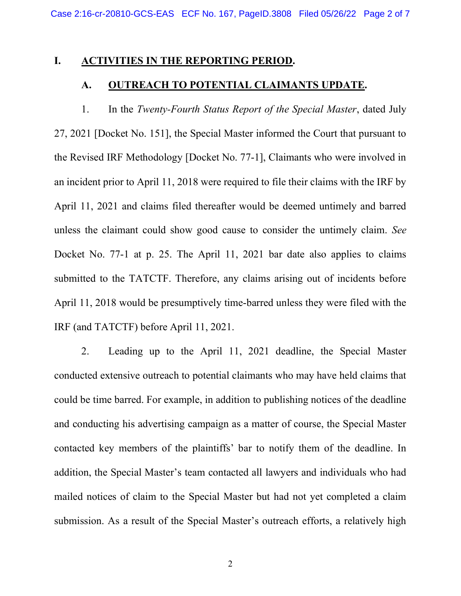#### I. ACTIVITIES IN THE REPORTING PERIOD.

# A. OUTREACH TO POTENTIAL CLAIMANTS UPDATE.

1. In the Twenty-Fourth Status Report of the Special Master, dated July 27, 2021 [Docket No. 151], the Special Master informed the Court that pursuant to the Revised IRF Methodology [Docket No. 77-1], Claimants who were involved in an incident prior to April 11, 2018 were required to file their claims with the IRF by April 11, 2021 and claims filed thereafter would be deemed untimely and barred unless the claimant could show good cause to consider the untimely claim. See Docket No. 77-1 at p. 25. The April 11, 2021 bar date also applies to claims submitted to the TATCTF. Therefore, any claims arising out of incidents before April 11, 2018 would be presumptively time-barred unless they were filed with the IRF (and TATCTF) before April 11, 2021.

2. Leading up to the April 11, 2021 deadline, the Special Master conducted extensive outreach to potential claimants who may have held claims that could be time barred. For example, in addition to publishing notices of the deadline and conducting his advertising campaign as a matter of course, the Special Master contacted key members of the plaintiffs' bar to notify them of the deadline. In addition, the Special Master's team contacted all lawyers and individuals who had mailed notices of claim to the Special Master but had not yet completed a claim submission. As a result of the Special Master's outreach efforts, a relatively high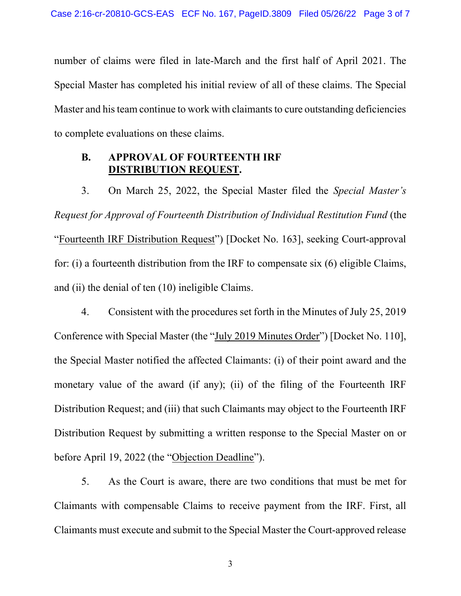number of claims were filed in late-March and the first half of April 2021. The Special Master has completed his initial review of all of these claims. The Special Master and his team continue to work with claimants to cure outstanding deficiencies to complete evaluations on these claims.

## B. APPROVAL OF FOURTEENTH IRF DISTRIBUTION REQUEST.

3. On March 25, 2022, the Special Master filed the Special Master's Request for Approval of Fourteenth Distribution of Individual Restitution Fund (the "Fourteenth IRF Distribution Request") [Docket No. 163], seeking Court-approval for: (i) a fourteenth distribution from the IRF to compensate six (6) eligible Claims, and (ii) the denial of ten (10) ineligible Claims.

4. Consistent with the procedures set forth in the Minutes of July 25, 2019 Conference with Special Master (the "July 2019 Minutes Order") [Docket No. 110], the Special Master notified the affected Claimants: (i) of their point award and the monetary value of the award (if any); (ii) of the filing of the Fourteenth IRF Distribution Request; and (iii) that such Claimants may object to the Fourteenth IRF Distribution Request by submitting a written response to the Special Master on or before April 19, 2022 (the "Objection Deadline").

5. As the Court is aware, there are two conditions that must be met for Claimants with compensable Claims to receive payment from the IRF. First, all Claimants must execute and submit to the Special Master the Court-approved release

3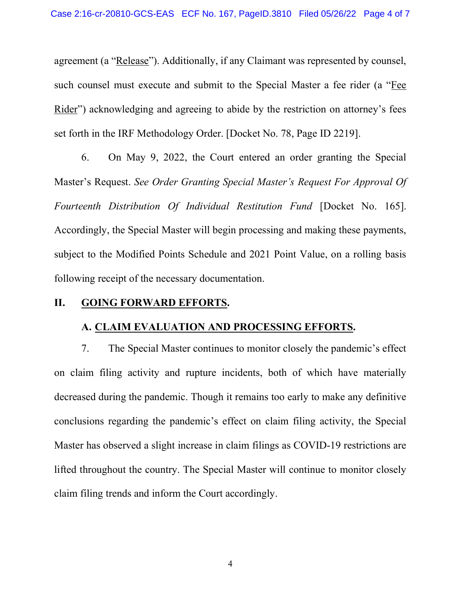agreement (a "Release"). Additionally, if any Claimant was represented by counsel, such counsel must execute and submit to the Special Master a fee rider (a "Fee Rider") acknowledging and agreeing to abide by the restriction on attorney's fees set forth in the IRF Methodology Order. [Docket No. 78, Page ID 2219].

6. On May 9, 2022, the Court entered an order granting the Special Master's Request. See Order Granting Special Master's Request For Approval Of Fourteenth Distribution Of Individual Restitution Fund [Docket No. 165]. Accordingly, the Special Master will begin processing and making these payments, subject to the Modified Points Schedule and 2021 Point Value, on a rolling basis following receipt of the necessary documentation.

### II. GOING FORWARD EFFORTS.

#### A. CLAIM EVALUATION AND PROCESSING EFFORTS.

7. The Special Master continues to monitor closely the pandemic's effect on claim filing activity and rupture incidents, both of which have materially decreased during the pandemic. Though it remains too early to make any definitive conclusions regarding the pandemic's effect on claim filing activity, the Special Master has observed a slight increase in claim filings as COVID-19 restrictions are lifted throughout the country. The Special Master will continue to monitor closely claim filing trends and inform the Court accordingly.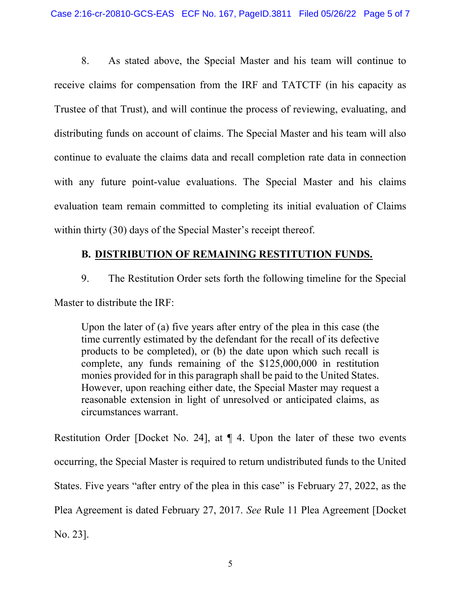8. As stated above, the Special Master and his team will continue to receive claims for compensation from the IRF and TATCTF (in his capacity as Trustee of that Trust), and will continue the process of reviewing, evaluating, and distributing funds on account of claims. The Special Master and his team will also continue to evaluate the claims data and recall completion rate data in connection with any future point-value evaluations. The Special Master and his claims evaluation team remain committed to completing its initial evaluation of Claims within thirty (30) days of the Special Master's receipt thereof.

## B. DISTRIBUTION OF REMAINING RESTITUTION FUNDS.

9. The Restitution Order sets forth the following timeline for the Special

Master to distribute the IRF:

Upon the later of (a) five years after entry of the plea in this case (the time currently estimated by the defendant for the recall of its defective products to be completed), or (b) the date upon which such recall is complete, any funds remaining of the \$125,000,000 in restitution monies provided for in this paragraph shall be paid to the United States. However, upon reaching either date, the Special Master may request a reasonable extension in light of unresolved or anticipated claims, as circumstances warrant.

Restitution Order [Docket No. 24], at ¶ 4. Upon the later of these two events occurring, the Special Master is required to return undistributed funds to the United States. Five years "after entry of the plea in this case" is February 27, 2022, as the Plea Agreement is dated February 27, 2017. See Rule 11 Plea Agreement [Docket No. 23].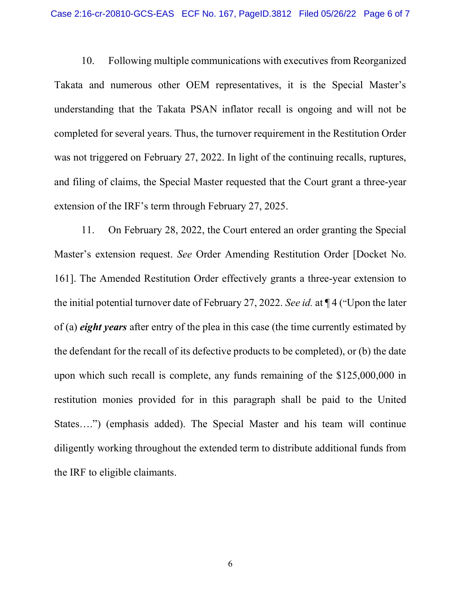10. Following multiple communications with executives from Reorganized Takata and numerous other OEM representatives, it is the Special Master's understanding that the Takata PSAN inflator recall is ongoing and will not be completed for several years. Thus, the turnover requirement in the Restitution Order was not triggered on February 27, 2022. In light of the continuing recalls, ruptures, and filing of claims, the Special Master requested that the Court grant a three-year extension of the IRF's term through February 27, 2025.

11. On February 28, 2022, the Court entered an order granting the Special Master's extension request. See Order Amending Restitution Order [Docket No. 161]. The Amended Restitution Order effectively grants a three-year extension to the initial potential turnover date of February 27, 2022. See id. at ¶ 4 ("Upon the later of (a) *eight years* after entry of the plea in this case (the time currently estimated by the defendant for the recall of its defective products to be completed), or (b) the date upon which such recall is complete, any funds remaining of the \$125,000,000 in restitution monies provided for in this paragraph shall be paid to the United States….") (emphasis added). The Special Master and his team will continue diligently working throughout the extended term to distribute additional funds from the IRF to eligible claimants.